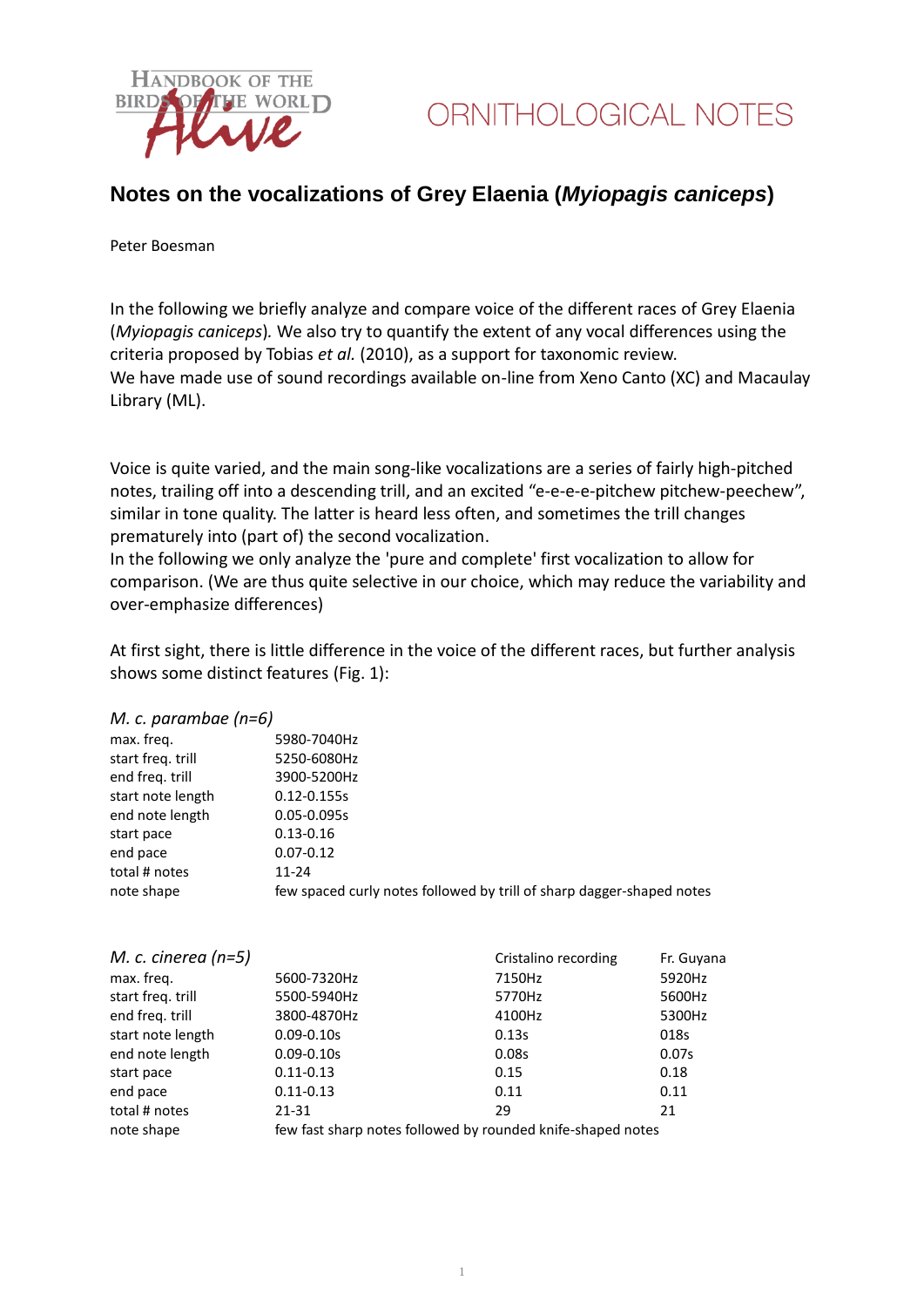

### **Notes on the vocalizations of Grey Elaenia (***Myiopagis caniceps***)**

Peter Boesman

In the following we briefly analyze and compare voice of the different races of Grey Elaenia (*Myiopagis caniceps*)*.* We also try to quantify the extent of any vocal differences using the criteria proposed by Tobias *et al.* (2010), as a support for taxonomic review. We have made use of sound recordings available on-line from Xeno Canto (XC) and Macaulay Library (ML).

Voice is quite varied, and the main song-like vocalizations are a series of fairly high-pitched notes, trailing off into a descending trill, and an excited "e-e-e-e-pitchew pitchew-peechew", similar in tone quality. The latter is heard less often, and sometimes the trill changes prematurely into (part of) the second vocalization.

In the following we only analyze the 'pure and complete' first vocalization to allow for comparison. (We are thus quite selective in our choice, which may reduce the variability and over-emphasize differences)

At first sight, there is little difference in the voice of the different races, but further analysis shows some distinct features (Fig. 1):

#### *M. c. parambae (n=6)*

| max. freg.        | 5980-7040Hz                                                           |
|-------------------|-----------------------------------------------------------------------|
| start freg. trill | 5250-6080Hz                                                           |
| end freg. trill   | 3900-5200Hz                                                           |
| start note length | $0.12 - 0.155s$                                                       |
| end note length   | $0.05 - 0.095s$                                                       |
| start pace        | $0.13 - 0.16$                                                         |
| end pace          | $0.07 - 0.12$                                                         |
| total # notes     | $11 - 24$                                                             |
| note shape        | few spaced curly notes followed by trill of sharp dagger-shaped notes |
|                   |                                                                       |

| M. c. cinerea $(n=5)$ |                                                             | Cristalino recording | Fr. Guyana |  |
|-----------------------|-------------------------------------------------------------|----------------------|------------|--|
| max. freq.            | 5600-7320Hz                                                 | 7150Hz               | 5920Hz     |  |
| start freq. trill     | 5500-5940Hz                                                 | 5770Hz               | 5600Hz     |  |
| end freq. trill       | 3800-4870Hz                                                 | 4100Hz               | 5300Hz     |  |
| start note length     | $0.09 - 0.10s$                                              | 0.13s                | 018s       |  |
| end note length       | $0.09 - 0.10s$                                              | 0.08s                | 0.07s      |  |
| start pace            | $0.11 - 0.13$                                               | 0.15                 | 0.18       |  |
| end pace              | $0.11 - 0.13$                                               | 0.11                 | 0.11       |  |
| total # notes         | 21-31                                                       | 29                   | 21         |  |
| note shape            | few fast sharp notes followed by rounded knife-shaped notes |                      |            |  |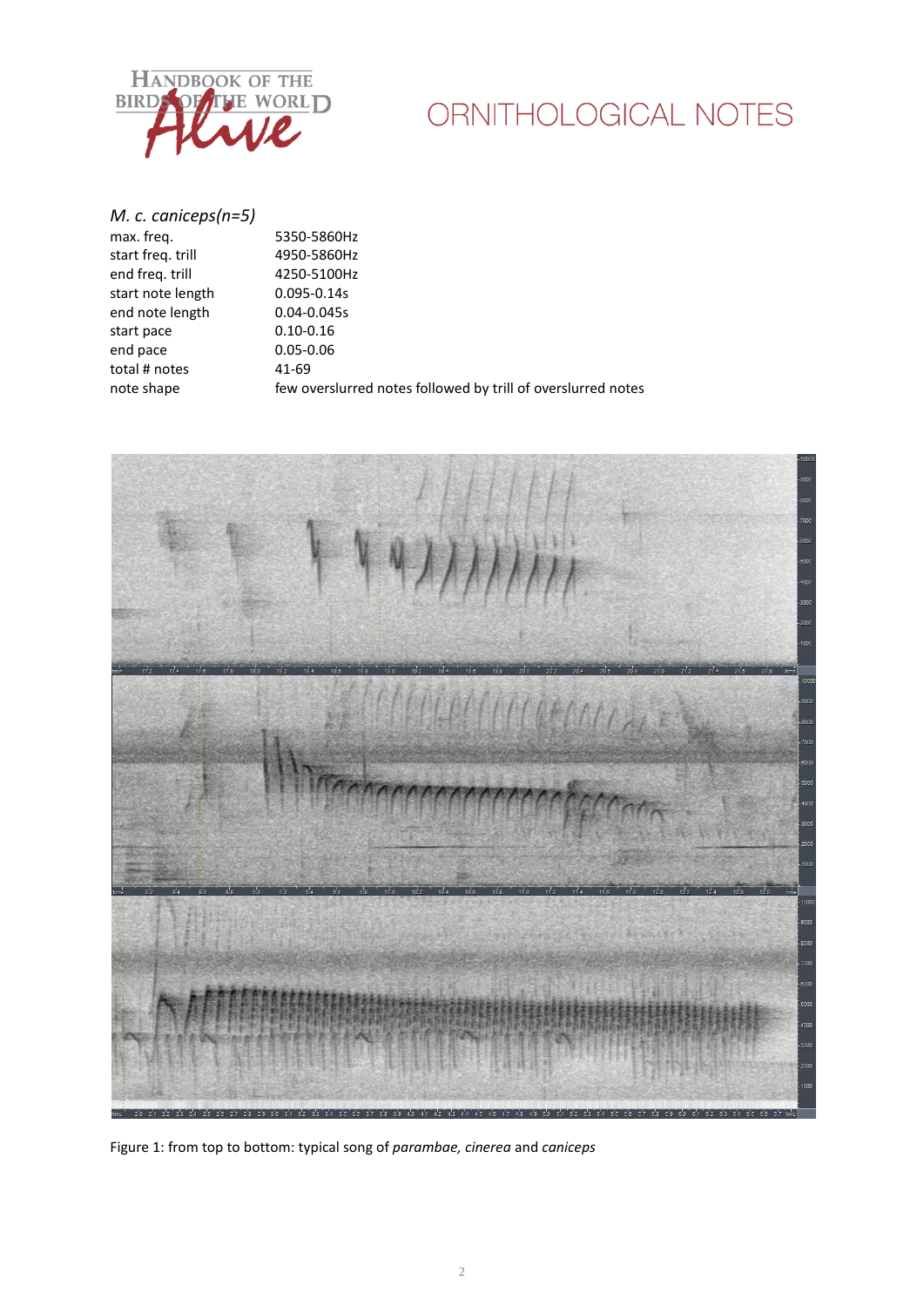

# ORNITHOLOGICAL NOTES

*M. c. caniceps(n=5)* max. freq. 5350-5860Hz start freq. trill 4950-5860Hz end freq. trill 4250-5100Hz start note length 0.095-0.14s end note length 0.04-0.045s<br>start pace 0.10-0.16 start pace 0.10-0.16<br>end pace 0.05-0.06 end pace total # notes 41-69 note shape few overslurred notes followed by trill of overslurred notes



Figure 1: from top to bottom: typical song of *parambae, cinerea* and *caniceps*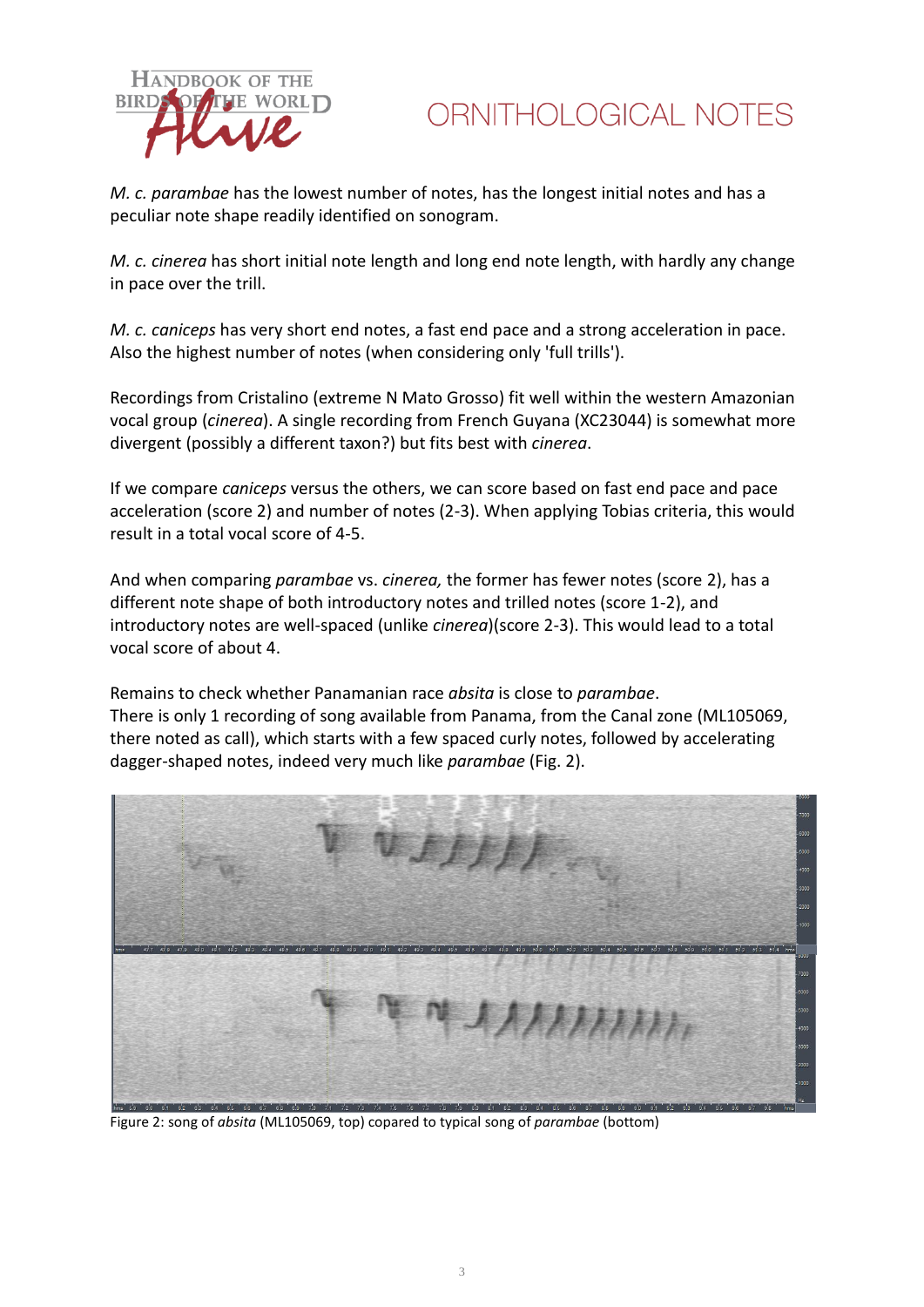



*M. c. parambae* has the lowest number of notes, has the longest initial notes and has a peculiar note shape readily identified on sonogram.

*M. c. cinerea* has short initial note length and long end note length, with hardly any change in pace over the trill.

*M. c. caniceps* has very short end notes, a fast end pace and a strong acceleration in pace. Also the highest number of notes (when considering only 'full trills').

Recordings from Cristalino (extreme N Mato Grosso) fit well within the western Amazonian vocal group (*cinerea*). A single recording from French Guyana (XC23044) is somewhat more divergent (possibly a different taxon?) but fits best with *cinerea*.

If we compare *caniceps* versus the others, we can score based on fast end pace and pace acceleration (score 2) and number of notes (2-3). When applying Tobias criteria, this would result in a total vocal score of 4-5.

And when comparing *parambae* vs. *cinerea,* the former has fewer notes (score 2), has a different note shape of both introductory notes and trilled notes (score 1-2), and introductory notes are well-spaced (unlike *cinerea*)(score 2-3). This would lead to a total vocal score of about 4.

Remains to check whether Panamanian race *absita* is close to *parambae*. There is only 1 recording of song available from Panama, from the Canal zone (ML105069, there noted as call), which starts with a few spaced curly notes, followed by accelerating dagger-shaped notes, indeed very much like *parambae* (Fig. 2).



Figure 2: song of *absita* (ML105069, top) copared to typical song of *parambae* (bottom)